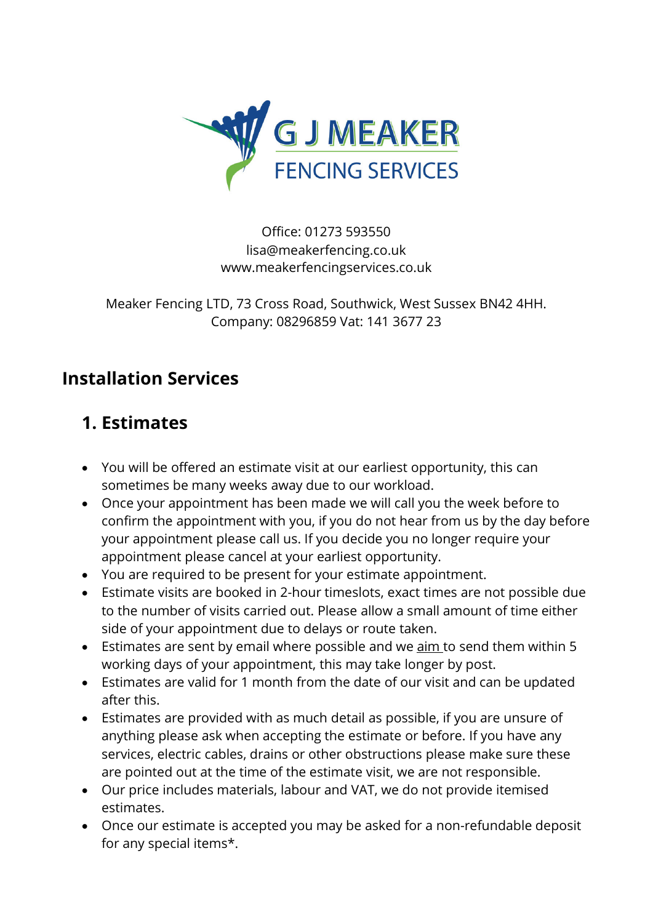

Office: 01273 593550 lisa@meakerfencing.co.uk www.meakerfencingservices.co.uk

Meaker Fencing LTD, 73 Cross Road, Southwick, West Sussex BN42 4HH. Company: 08296859 Vat: 141 3677 23

### **Installation Services**

### **1. Estimates**

- You will be offered an estimate visit at our earliest opportunity, this can sometimes be many weeks away due to our workload.
- Once your appointment has been made we will call you the week before to confirm the appointment with you, if you do not hear from us by the day before your appointment please call us. If you decide you no longer require your appointment please cancel at your earliest opportunity.
- You are required to be present for your estimate appointment.
- Estimate visits are booked in 2-hour timeslots, exact times are not possible due to the number of visits carried out. Please allow a small amount of time either side of your appointment due to delays or route taken.
- Estimates are sent by email where possible and we aim to send them within 5 working days of your appointment, this may take longer by post.
- Estimates are valid for 1 month from the date of our visit and can be updated after this.
- Estimates are provided with as much detail as possible, if you are unsure of anything please ask when accepting the estimate or before. If you have any services, electric cables, drains or other obstructions please make sure these are pointed out at the time of the estimate visit, we are not responsible.
- Our price includes materials, labour and VAT, we do not provide itemised estimates.
- Once our estimate is accepted you may be asked for a non-refundable deposit for any special items\*.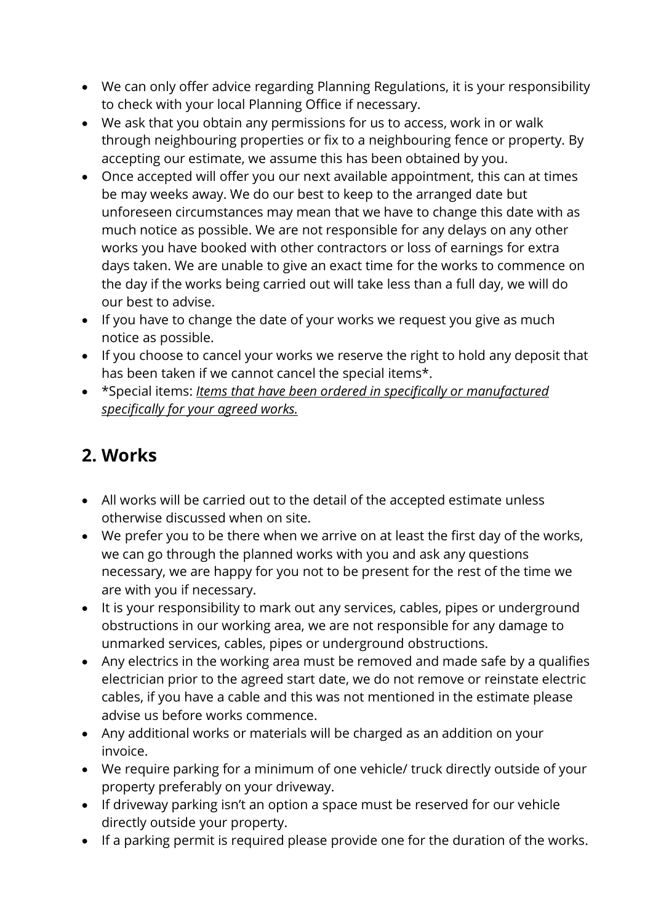- We can only offer advice regarding Planning Regulations, it is your responsibility to check with your local Planning Office if necessary.
- We ask that you obtain any permissions for us to access, work in or walk through neighbouring properties or fix to a neighbouring fence or property. By accepting our estimate, we assume this has been obtained by you.
- Once accepted will offer you our next available appointment, this can at times be may weeks away. We do our best to keep to the arranged date but unforeseen circumstances may mean that we have to change this date with as much notice as possible. We are not responsible for any delays on any other works you have booked with other contractors or loss of earnings for extra days taken. We are unable to give an exact time for the works to commence on the day if the works being carried out will take less than a full day, we will do our best to advise.
- If you have to change the date of your works we request you give as much notice as possible.
- If you choose to cancel your works we reserve the right to hold any deposit that has been taken if we cannot cancel the special items\*.
- \*Special items: *Items that have been ordered in specifically or manufactured specifically for your agreed works.*

## **2. Works**

- All works will be carried out to the detail of the accepted estimate unless otherwise discussed when on site.
- We prefer you to be there when we arrive on at least the first day of the works, we can go through the planned works with you and ask any questions necessary, we are happy for you not to be present for the rest of the time we are with you if necessary.
- It is your responsibility to mark out any services, cables, pipes or underground obstructions in our working area, we are not responsible for any damage to unmarked services, cables, pipes or underground obstructions.
- Any electrics in the working area must be removed and made safe by a qualifies electrician prior to the agreed start date, we do not remove or reinstate electric cables, if you have a cable and this was not mentioned in the estimate please advise us before works commence.
- Any additional works or materials will be charged as an addition on your invoice.
- We require parking for a minimum of one vehicle/ truck directly outside of your property preferably on your driveway.
- If driveway parking isn't an option a space must be reserved for our vehicle directly outside your property.
- If a parking permit is required please provide one for the duration of the works.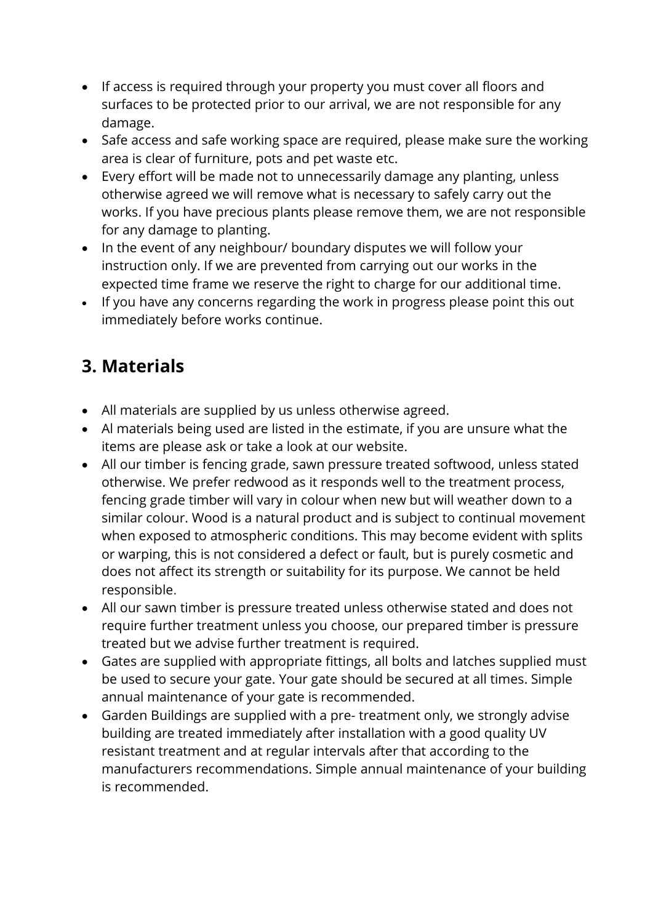- If access is required through your property you must cover all floors and surfaces to be protected prior to our arrival, we are not responsible for any damage.
- Safe access and safe working space are required, please make sure the working area is clear of furniture, pots and pet waste etc.
- Every effort will be made not to unnecessarily damage any planting, unless otherwise agreed we will remove what is necessary to safely carry out the works. If you have precious plants please remove them, we are not responsible for any damage to planting.
- In the event of any neighbour/ boundary disputes we will follow your instruction only. If we are prevented from carrying out our works in the expected time frame we reserve the right to charge for our additional time.
- If you have any concerns regarding the work in progress please point this out immediately before works continue.

# **3. Materials**

- All materials are supplied by us unless otherwise agreed.
- Al materials being used are listed in the estimate, if you are unsure what the items are please ask or take a look at our website.
- All our timber is fencing grade, sawn pressure treated softwood, unless stated otherwise. We prefer redwood as it responds well to the treatment process, fencing grade timber will vary in colour when new but will weather down to a similar colour. Wood is a natural product and is subject to continual movement when exposed to atmospheric conditions. This may become evident with splits or warping, this is not considered a defect or fault, but is purely cosmetic and does not affect its strength or suitability for its purpose. We cannot be held responsible.
- All our sawn timber is pressure treated unless otherwise stated and does not require further treatment unless you choose, our prepared timber is pressure treated but we advise further treatment is required.
- Gates are supplied with appropriate fittings, all bolts and latches supplied must be used to secure your gate. Your gate should be secured at all times. Simple annual maintenance of your gate is recommended.
- Garden Buildings are supplied with a pre- treatment only, we strongly advise building are treated immediately after installation with a good quality UV resistant treatment and at regular intervals after that according to the manufacturers recommendations. Simple annual maintenance of your building is recommended.